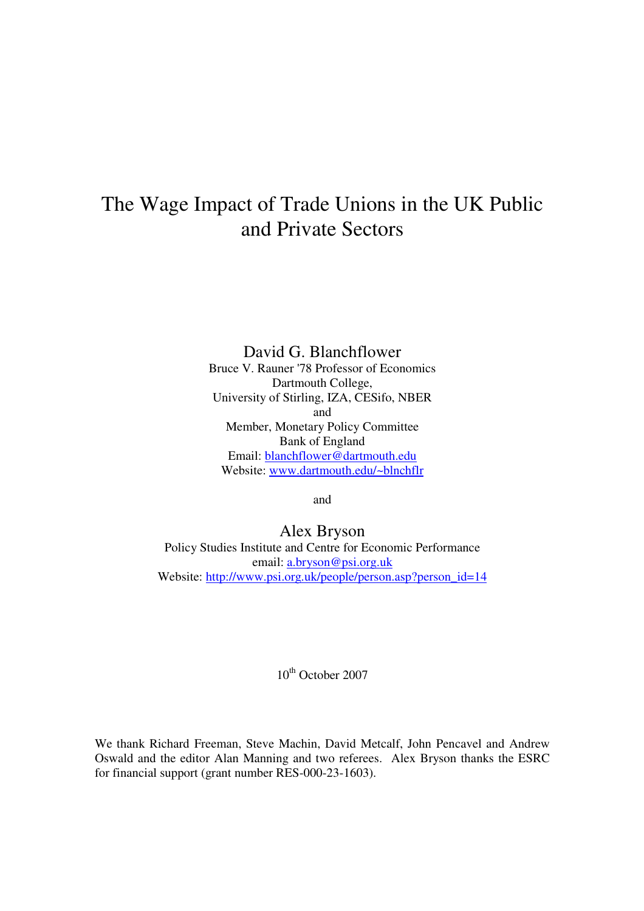# The Wage Impact of Trade Unions in the UK Public and Private Sectors

David G. Blanchflower Bruce V. Rauner '78 Professor of Economics Dartmouth College, University of Stirling, IZA, CESifo, NBER and Member, Monetary Policy Committee Bank of England Email: blanchflower@dartmouth.edu Website: www.dartmouth.edu/~blnchflr

and

## Alex Bryson

Policy Studies Institute and Centre for Economic Performance email: a.bryson@psi.org.uk Website: http://www.psi.org.uk/people/person.asp?person\_id=14

 $10^{th}$  October 2007

We thank Richard Freeman, Steve Machin, David Metcalf, John Pencavel and Andrew Oswald and the editor Alan Manning and two referees. Alex Bryson thanks the ESRC for financial support (grant number RES-000-23-1603).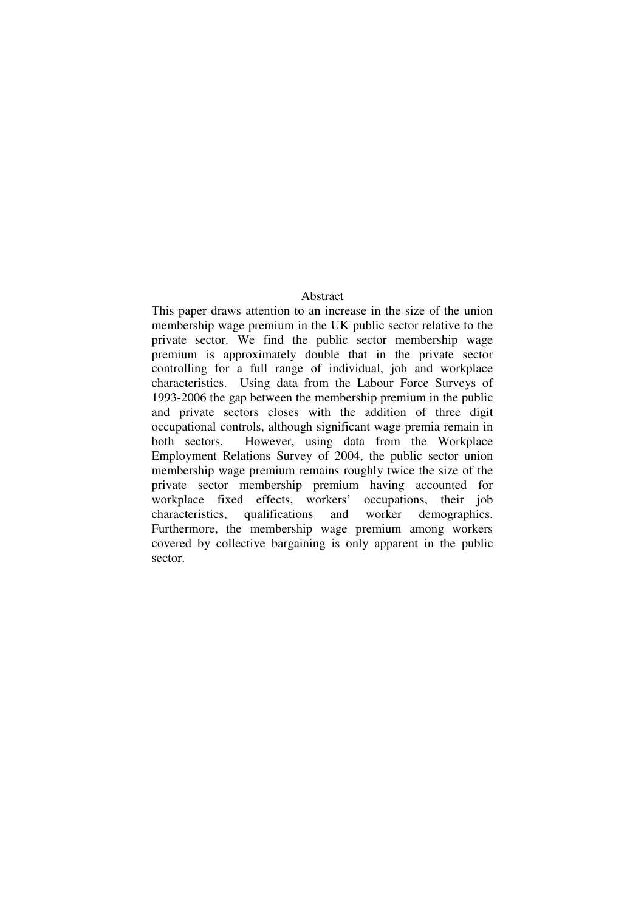## Abstract

This paper draws attention to an increase in the size of the union membership wage premium in the UK public sector relative to the private sector. We find the public sector membership wage premium is approximately double that in the private sector controlling for a full range of individual, job and workplace characteristics. Using data from the Labour Force Surveys of 1993-2006 the gap between the membership premium in the public and private sectors closes with the addition of three digit occupational controls, although significant wage premia remain in both sectors. However, using data from the Workplace Employment Relations Survey of 2004, the public sector union membership wage premium remains roughly twice the size of the private sector membership premium having accounted for workplace fixed effects, workers' occupations, their job characteristics, qualifications and worker demographics. Furthermore, the membership wage premium among workers covered by collective bargaining is only apparent in the public sector.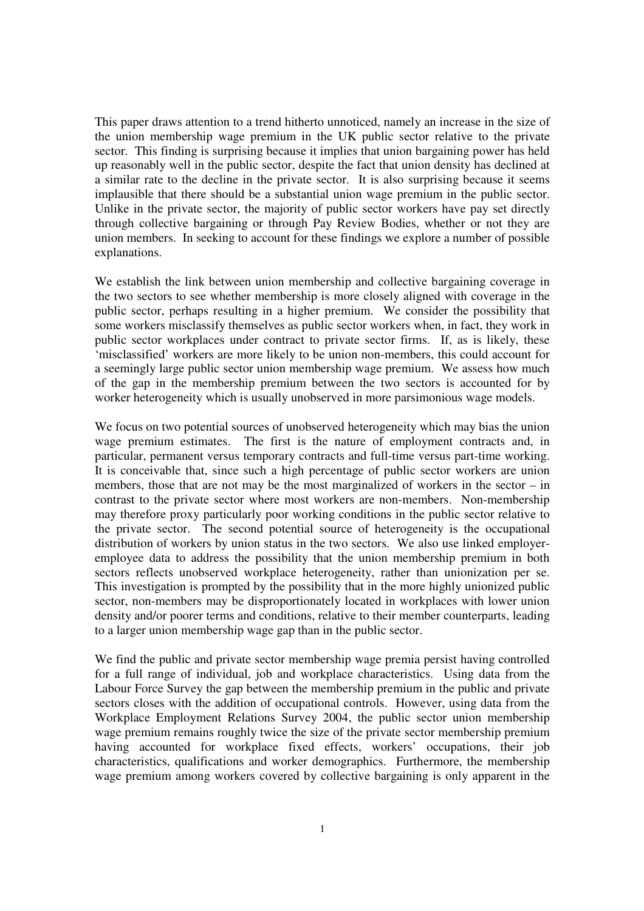This paper draws attention to a trend hitherto unnoticed, namely an increase in the size of the union membership wage premium in the UK public sector relative to the private sector. This finding is surprising because it implies that union bargaining power has held up reasonably well in the public sector, despite the fact that union density has declined at a similar rate to the decline in the private sector. It is also surprising because it seems implausible that there should be a substantial union wage premium in the public sector. Unlike in the private sector, the majority of public sector workers have pay set directly through collective bargaining or through Pay Review Bodies, whether or not they are union members. In seeking to account for these findings we explore a number of possible explanations.

We establish the link between union membership and collective bargaining coverage in the two sectors to see whether membership is more closely aligned with coverage in the public sector, perhaps resulting in a higher premium. We consider the possibility that some workers misclassify themselves as public sector workers when, in fact, they work in public sector workplaces under contract to private sector firms. If, as is likely, these 'misclassified' workers are more likely to be union non-members, this could account for a seemingly large public sector union membership wage premium. We assess how much of the gap in the membership premium between the two sectors is accounted for by worker heterogeneity which is usually unobserved in more parsimonious wage models.

We focus on two potential sources of unobserved heterogeneity which may bias the union wage premium estimates. The first is the nature of employment contracts and, in particular, permanent versus temporary contracts and full-time versus part-time working. It is conceivable that, since such a high percentage of public sector workers are union members, those that are not may be the most marginalized of workers in the sector – in contrast to the private sector where most workers are non-members. Non-membership may therefore proxy particularly poor working conditions in the public sector relative to the private sector. The second potential source of heterogeneity is the occupational distribution of workers by union status in the two sectors. We also use linked employeremployee data to address the possibility that the union membership premium in both sectors reflects unobserved workplace heterogeneity, rather than unionization per se. This investigation is prompted by the possibility that in the more highly unionized public sector, non-members may be disproportionately located in workplaces with lower union density and/or poorer terms and conditions, relative to their member counterparts, leading to a larger union membership wage gap than in the public sector.

We find the public and private sector membership wage premia persist having controlled for a full range of individual, job and workplace characteristics. Using data from the Labour Force Survey the gap between the membership premium in the public and private sectors closes with the addition of occupational controls. However, using data from the Workplace Employment Relations Survey 2004, the public sector union membership wage premium remains roughly twice the size of the private sector membership premium having accounted for workplace fixed effects, workers' occupations, their job characteristics, qualifications and worker demographics. Furthermore, the membership wage premium among workers covered by collective bargaining is only apparent in the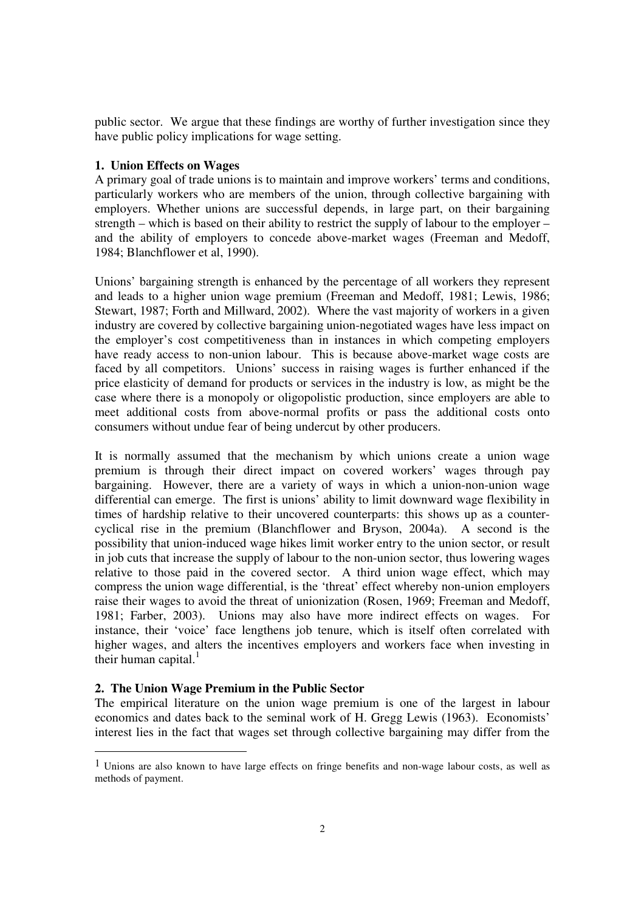public sector. We argue that these findings are worthy of further investigation since they have public policy implications for wage setting.

#### **1. Union Effects on Wages**

A primary goal of trade unions is to maintain and improve workers' terms and conditions, particularly workers who are members of the union, through collective bargaining with employers. Whether unions are successful depends, in large part, on their bargaining strength – which is based on their ability to restrict the supply of labour to the employer – and the ability of employers to concede above-market wages (Freeman and Medoff, 1984; Blanchflower et al, 1990).

Unions' bargaining strength is enhanced by the percentage of all workers they represent and leads to a higher union wage premium (Freeman and Medoff, 1981; Lewis, 1986; Stewart, 1987; Forth and Millward, 2002). Where the vast majority of workers in a given industry are covered by collective bargaining union-negotiated wages have less impact on the employer's cost competitiveness than in instances in which competing employers have ready access to non-union labour. This is because above-market wage costs are faced by all competitors. Unions' success in raising wages is further enhanced if the price elasticity of demand for products or services in the industry is low, as might be the case where there is a monopoly or oligopolistic production, since employers are able to meet additional costs from above-normal profits or pass the additional costs onto consumers without undue fear of being undercut by other producers.

It is normally assumed that the mechanism by which unions create a union wage premium is through their direct impact on covered workers' wages through pay bargaining. However, there are a variety of ways in which a union-non-union wage differential can emerge. The first is unions' ability to limit downward wage flexibility in times of hardship relative to their uncovered counterparts: this shows up as a countercyclical rise in the premium (Blanchflower and Bryson, 2004a). A second is the possibility that union-induced wage hikes limit worker entry to the union sector, or result in job cuts that increase the supply of labour to the non-union sector, thus lowering wages relative to those paid in the covered sector. A third union wage effect, which may compress the union wage differential, is the 'threat' effect whereby non-union employers raise their wages to avoid the threat of unionization (Rosen, 1969; Freeman and Medoff, 1981; Farber, 2003). Unions may also have more indirect effects on wages. For instance, their 'voice' face lengthens job tenure, which is itself often correlated with higher wages, and alters the incentives employers and workers face when investing in their human capital. $<sup>1</sup>$ </sup>

#### **2. The Union Wage Premium in the Public Sector**

-

The empirical literature on the union wage premium is one of the largest in labour economics and dates back to the seminal work of H. Gregg Lewis (1963). Economists' interest lies in the fact that wages set through collective bargaining may differ from the

 $<sup>1</sup>$  Unions are also known to have large effects on fringe benefits and non-wage labour costs, as well as</sup> methods of payment.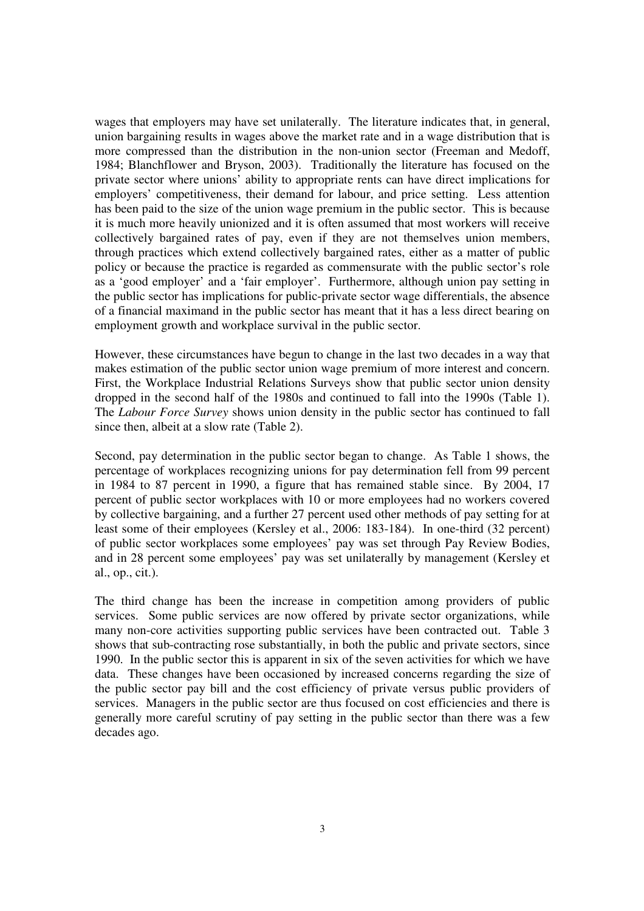wages that employers may have set unilaterally. The literature indicates that, in general, union bargaining results in wages above the market rate and in a wage distribution that is more compressed than the distribution in the non-union sector (Freeman and Medoff, 1984; Blanchflower and Bryson, 2003). Traditionally the literature has focused on the private sector where unions' ability to appropriate rents can have direct implications for employers' competitiveness, their demand for labour, and price setting. Less attention has been paid to the size of the union wage premium in the public sector. This is because it is much more heavily unionized and it is often assumed that most workers will receive collectively bargained rates of pay, even if they are not themselves union members, through practices which extend collectively bargained rates, either as a matter of public policy or because the practice is regarded as commensurate with the public sector's role as a 'good employer' and a 'fair employer'. Furthermore, although union pay setting in the public sector has implications for public-private sector wage differentials, the absence of a financial maximand in the public sector has meant that it has a less direct bearing on employment growth and workplace survival in the public sector.

However, these circumstances have begun to change in the last two decades in a way that makes estimation of the public sector union wage premium of more interest and concern. First, the Workplace Industrial Relations Surveys show that public sector union density dropped in the second half of the 1980s and continued to fall into the 1990s (Table 1). The *Labour Force Survey* shows union density in the public sector has continued to fall since then, albeit at a slow rate (Table 2).

Second, pay determination in the public sector began to change. As Table 1 shows, the percentage of workplaces recognizing unions for pay determination fell from 99 percent in 1984 to 87 percent in 1990, a figure that has remained stable since. By 2004, 17 percent of public sector workplaces with 10 or more employees had no workers covered by collective bargaining, and a further 27 percent used other methods of pay setting for at least some of their employees (Kersley et al., 2006: 183-184). In one-third (32 percent) of public sector workplaces some employees' pay was set through Pay Review Bodies, and in 28 percent some employees' pay was set unilaterally by management (Kersley et al., op., cit.).

The third change has been the increase in competition among providers of public services. Some public services are now offered by private sector organizations, while many non-core activities supporting public services have been contracted out. Table 3 shows that sub-contracting rose substantially, in both the public and private sectors, since 1990. In the public sector this is apparent in six of the seven activities for which we have data. These changes have been occasioned by increased concerns regarding the size of the public sector pay bill and the cost efficiency of private versus public providers of services. Managers in the public sector are thus focused on cost efficiencies and there is generally more careful scrutiny of pay setting in the public sector than there was a few decades ago.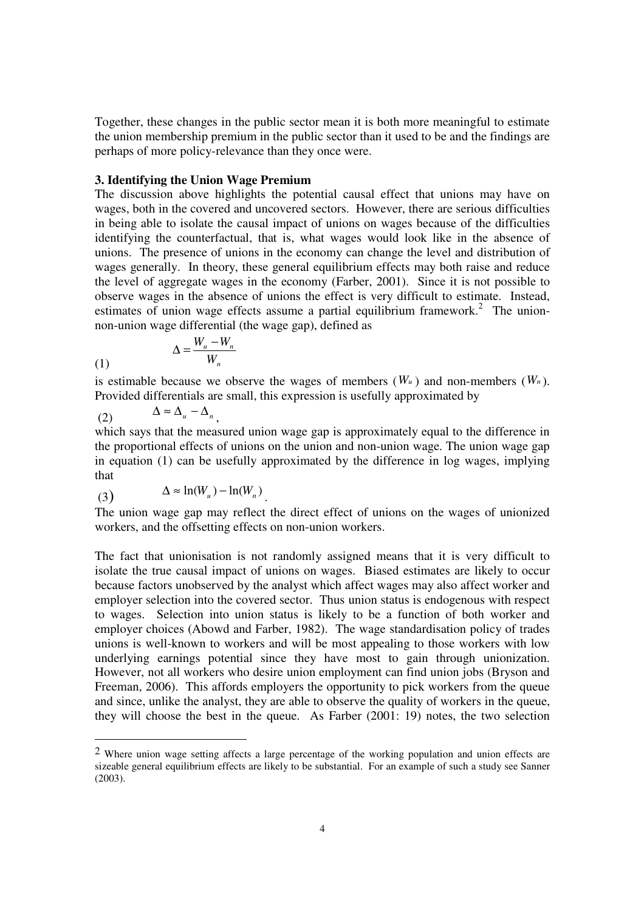Together, these changes in the public sector mean it is both more meaningful to estimate the union membership premium in the public sector than it used to be and the findings are perhaps of more policy-relevance than they once were.

#### **3. Identifying the Union Wage Premium**

The discussion above highlights the potential causal effect that unions may have on wages, both in the covered and uncovered sectors. However, there are serious difficulties in being able to isolate the causal impact of unions on wages because of the difficulties identifying the counterfactual, that is, what wages would look like in the absence of unions. The presence of unions in the economy can change the level and distribution of wages generally. In theory, these general equilibrium effects may both raise and reduce the level of aggregate wages in the economy (Farber, 2001). Since it is not possible to observe wages in the absence of unions the effect is very difficult to estimate. Instead, estimates of union wage effects assume a partial equilibrium framework.<sup>2</sup> The unionnon-union wage differential (the wage gap), defined as

$$
\Delta = \frac{W_u - W_n}{W_n}
$$

is estimable because we observe the wages of members  $(W_u)$  and non-members  $(W_n)$ . Provided differentials are small, this expression is usefully approximated by

$$
(2) \qquad \Delta \approx \Delta_u - \Delta_n,
$$

 $(1)$ 

-

which says that the measured union wage gap is approximately equal to the difference in the proportional effects of unions on the union and non-union wage. The union wage gap in equation (1) can be usefully approximated by the difference in log wages, implying that

(3) 
$$
\Delta \approx \ln(W_u) - \ln(W_n).
$$

The union wage gap may reflect the direct effect of unions on the wages of unionized workers, and the offsetting effects on non-union workers.

The fact that unionisation is not randomly assigned means that it is very difficult to isolate the true causal impact of unions on wages. Biased estimates are likely to occur because factors unobserved by the analyst which affect wages may also affect worker and employer selection into the covered sector. Thus union status is endogenous with respect to wages. Selection into union status is likely to be a function of both worker and employer choices (Abowd and Farber, 1982). The wage standardisation policy of trades unions is well-known to workers and will be most appealing to those workers with low underlying earnings potential since they have most to gain through unionization. However, not all workers who desire union employment can find union jobs (Bryson and Freeman, 2006). This affords employers the opportunity to pick workers from the queue and since, unlike the analyst, they are able to observe the quality of workers in the queue, they will choose the best in the queue. As Farber (2001: 19) notes, the two selection

<sup>2</sup> Where union wage setting affects a large percentage of the working population and union effects are sizeable general equilibrium effects are likely to be substantial. For an example of such a study see Sanner (2003).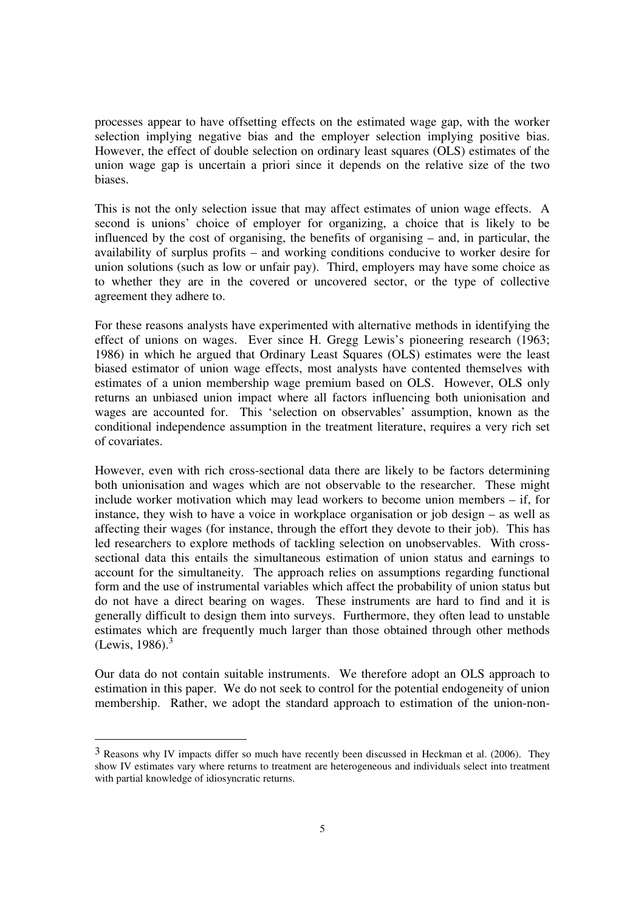processes appear to have offsetting effects on the estimated wage gap, with the worker selection implying negative bias and the employer selection implying positive bias. However, the effect of double selection on ordinary least squares (OLS) estimates of the union wage gap is uncertain a priori since it depends on the relative size of the two biases.

This is not the only selection issue that may affect estimates of union wage effects. A second is unions' choice of employer for organizing, a choice that is likely to be influenced by the cost of organising, the benefits of organising – and, in particular, the availability of surplus profits – and working conditions conducive to worker desire for union solutions (such as low or unfair pay). Third, employers may have some choice as to whether they are in the covered or uncovered sector, or the type of collective agreement they adhere to.

For these reasons analysts have experimented with alternative methods in identifying the effect of unions on wages. Ever since H. Gregg Lewis's pioneering research (1963; 1986) in which he argued that Ordinary Least Squares (OLS) estimates were the least biased estimator of union wage effects, most analysts have contented themselves with estimates of a union membership wage premium based on OLS. However, OLS only returns an unbiased union impact where all factors influencing both unionisation and wages are accounted for. This 'selection on observables' assumption, known as the conditional independence assumption in the treatment literature, requires a very rich set of covariates.

However, even with rich cross-sectional data there are likely to be factors determining both unionisation and wages which are not observable to the researcher. These might include worker motivation which may lead workers to become union members – if, for instance, they wish to have a voice in workplace organisation or job design – as well as affecting their wages (for instance, through the effort they devote to their job). This has led researchers to explore methods of tackling selection on unobservables. With crosssectional data this entails the simultaneous estimation of union status and earnings to account for the simultaneity. The approach relies on assumptions regarding functional form and the use of instrumental variables which affect the probability of union status but do not have a direct bearing on wages. These instruments are hard to find and it is generally difficult to design them into surveys. Furthermore, they often lead to unstable estimates which are frequently much larger than those obtained through other methods  $(Lewis, 1986).$ <sup>3</sup>

Our data do not contain suitable instruments. We therefore adopt an OLS approach to estimation in this paper. We do not seek to control for the potential endogeneity of union membership. Rather, we adopt the standard approach to estimation of the union-non-

<sup>3</sup> Reasons why IV impacts differ so much have recently been discussed in Heckman et al. (2006). They show IV estimates vary where returns to treatment are heterogeneous and individuals select into treatment with partial knowledge of idiosyncratic returns.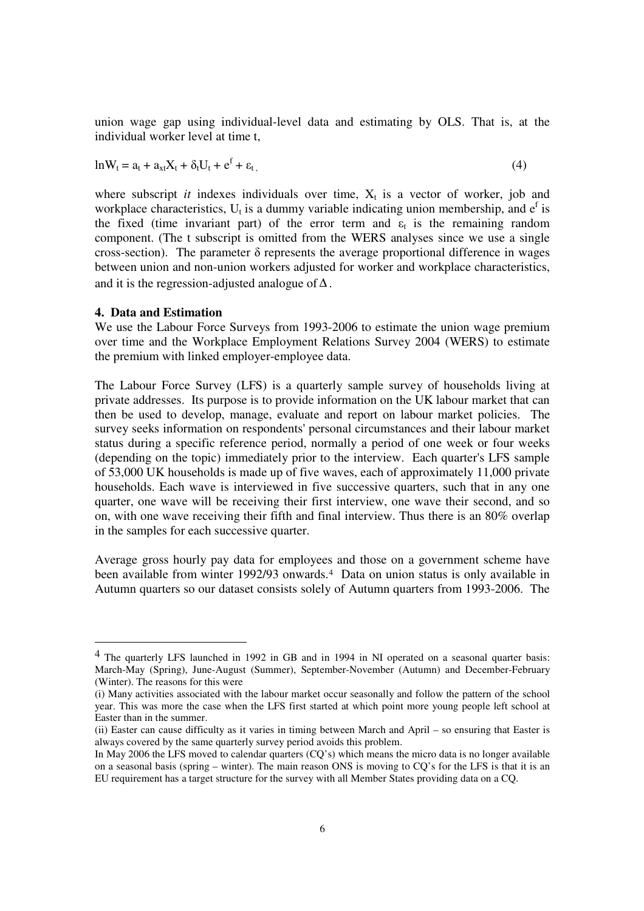union wage gap using individual-level data and estimating by OLS. That is, at the individual worker level at time t,

$$
ln W_t = a_t + a_{xt}X_t + \delta_t U_t + e^f + \varepsilon_t, \qquad (4)
$$

where subscript *it* indexes individuals over time,  $X_t$  is a vector of worker, job and workplace characteristics,  $U_t$  is a dummy variable indicating union membership, and  $e^f$  is the fixed (time invariant part) of the error term and  $\varepsilon_t$  is the remaining random component. (The t subscript is omitted from the WERS analyses since we use a single cross-section). The parameter  $\delta$  represents the average proportional difference in wages between union and non-union workers adjusted for worker and workplace characteristics, and it is the regression-adjusted analogue of  $\Delta$ .

#### **4. Data and Estimation**

-

We use the Labour Force Surveys from 1993-2006 to estimate the union wage premium over time and the Workplace Employment Relations Survey 2004 (WERS) to estimate the premium with linked employer-employee data.

The Labour Force Survey (LFS) is a quarterly sample survey of households living at private addresses. Its purpose is to provide information on the UK labour market that can then be used to develop, manage, evaluate and report on labour market policies. The survey seeks information on respondents' personal circumstances and their labour market status during a specific reference period, normally a period of one week or four weeks (depending on the topic) immediately prior to the interview. Each quarter's LFS sample of 53,000 UK households is made up of five waves, each of approximately 11,000 private households. Each wave is interviewed in five successive quarters, such that in any one quarter, one wave will be receiving their first interview, one wave their second, and so on, with one wave receiving their fifth and final interview. Thus there is an 80% overlap in the samples for each successive quarter.

Average gross hourly pay data for employees and those on a government scheme have been available from winter 1992/93 onwards.<sup>4</sup> Data on union status is only available in Autumn quarters so our dataset consists solely of Autumn quarters from 1993-2006. The

<sup>4</sup> The quarterly LFS launched in 1992 in GB and in 1994 in NI operated on a seasonal quarter basis: March-May (Spring), June-August (Summer), September-November (Autumn) and December-February (Winter). The reasons for this were

<sup>(</sup>i) Many activities associated with the labour market occur seasonally and follow the pattern of the school year. This was more the case when the LFS first started at which point more young people left school at Easter than in the summer.

<sup>(</sup>ii) Easter can cause difficulty as it varies in timing between March and April – so ensuring that Easter is always covered by the same quarterly survey period avoids this problem.

In May 2006 the LFS moved to calendar quarters (CQ's) which means the micro data is no longer available on a seasonal basis (spring – winter). The main reason ONS is moving to CQ's for the LFS is that it is an EU requirement has a target structure for the survey with all Member States providing data on a CQ.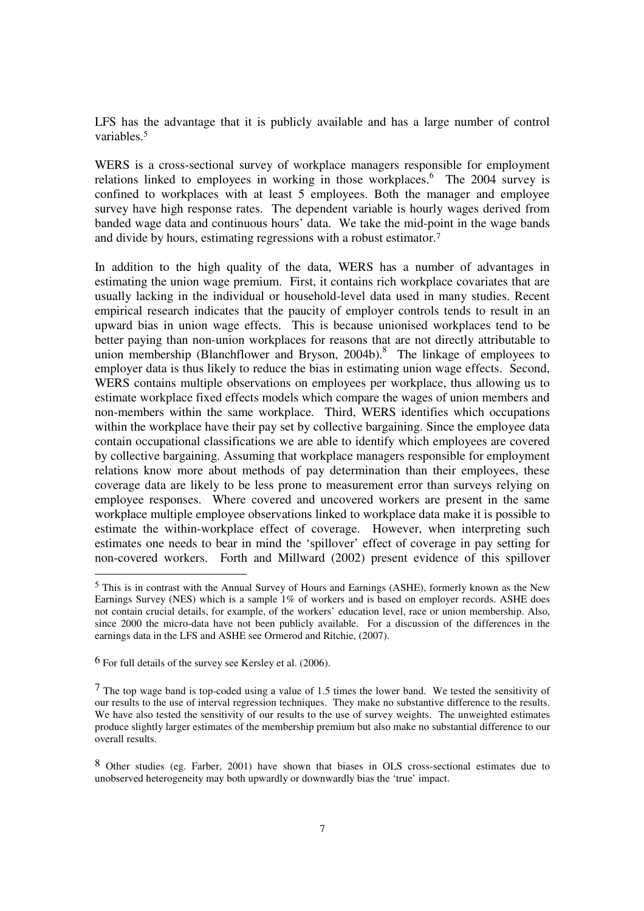LFS has the advantage that it is publicly available and has a large number of control variables.<sup>5</sup>

WERS is a cross-sectional survey of workplace managers responsible for employment relations linked to employees in working in those workplaces.<sup>6</sup> The 2004 survey is confined to workplaces with at least 5 employees. Both the manager and employee survey have high response rates. The dependent variable is hourly wages derived from banded wage data and continuous hours' data. We take the mid-point in the wage bands and divide by hours, estimating regressions with a robust estimator.<sup>7</sup>

In addition to the high quality of the data, WERS has a number of advantages in estimating the union wage premium. First, it contains rich workplace covariates that are usually lacking in the individual or household-level data used in many studies. Recent empirical research indicates that the paucity of employer controls tends to result in an upward bias in union wage effects. This is because unionised workplaces tend to be better paying than non-union workplaces for reasons that are not directly attributable to union membership (Blanchflower and Bryson,  $2004b$ ).<sup>8</sup> The linkage of employees to employer data is thus likely to reduce the bias in estimating union wage effects. Second, WERS contains multiple observations on employees per workplace, thus allowing us to estimate workplace fixed effects models which compare the wages of union members and non-members within the same workplace. Third, WERS identifies which occupations within the workplace have their pay set by collective bargaining. Since the employee data contain occupational classifications we are able to identify which employees are covered by collective bargaining. Assuming that workplace managers responsible for employment relations know more about methods of pay determination than their employees, these coverage data are likely to be less prone to measurement error than surveys relying on employee responses. Where covered and uncovered workers are present in the same workplace multiple employee observations linked to workplace data make it is possible to estimate the within-workplace effect of coverage. However, when interpreting such estimates one needs to bear in mind the 'spillover' effect of coverage in pay setting for non-covered workers. Forth and Millward (2002) present evidence of this spillover

6 For full details of the survey see Kersley et al. (2006).

<sup>5</sup> This is in contrast with the Annual Survey of Hours and Earnings (ASHE), formerly known as the New Earnings Survey (NES) which is a sample 1% of workers and is based on employer records. ASHE does not contain crucial details, for example, of the workers' education level, race or union membership. Also, since 2000 the micro-data have not been publicly available. For a discussion of the differences in the earnings data in the LFS and ASHE see Ormerod and Ritchie, (2007).

<sup>7</sup> The top wage band is top-coded using a value of 1.5 times the lower band. We tested the sensitivity of our results to the use of interval regression techniques. They make no substantive difference to the results. We have also tested the sensitivity of our results to the use of survey weights. The unweighted estimates produce slightly larger estimates of the membership premium but also make no substantial difference to our overall results.

<sup>8</sup> Other studies (eg. Farber, 2001) have shown that biases in OLS cross-sectional estimates due to unobserved heterogeneity may both upwardly or downwardly bias the 'true' impact.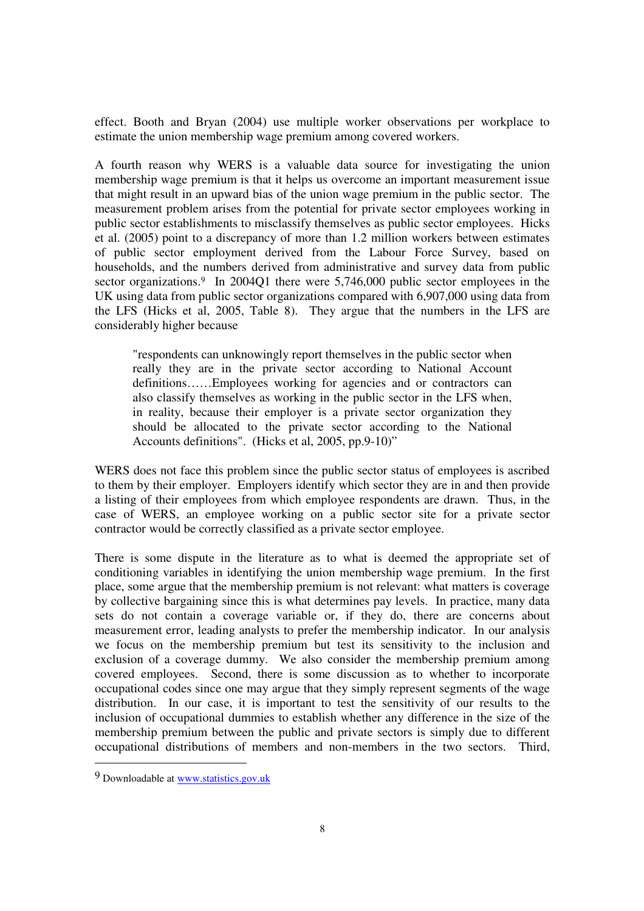effect. Booth and Bryan (2004) use multiple worker observations per workplace to estimate the union membership wage premium among covered workers.

A fourth reason why WERS is a valuable data source for investigating the union membership wage premium is that it helps us overcome an important measurement issue that might result in an upward bias of the union wage premium in the public sector. The measurement problem arises from the potential for private sector employees working in public sector establishments to misclassify themselves as public sector employees. Hicks et al. (2005) point to a discrepancy of more than 1.2 million workers between estimates of public sector employment derived from the Labour Force Survey, based on households, and the numbers derived from administrative and survey data from public sector organizations.<sup>9</sup> In 2004O1 there were 5,746,000 public sector employees in the UK using data from public sector organizations compared with 6,907,000 using data from the LFS (Hicks et al, 2005, Table 8). They argue that the numbers in the LFS are considerably higher because

"respondents can unknowingly report themselves in the public sector when really they are in the private sector according to National Account definitions……Employees working for agencies and or contractors can also classify themselves as working in the public sector in the LFS when, in reality, because their employer is a private sector organization they should be allocated to the private sector according to the National Accounts definitions". (Hicks et al, 2005, pp.9-10)"

WERS does not face this problem since the public sector status of employees is ascribed to them by their employer. Employers identify which sector they are in and then provide a listing of their employees from which employee respondents are drawn. Thus, in the case of WERS, an employee working on a public sector site for a private sector contractor would be correctly classified as a private sector employee.

There is some dispute in the literature as to what is deemed the appropriate set of conditioning variables in identifying the union membership wage premium. In the first place, some argue that the membership premium is not relevant: what matters is coverage by collective bargaining since this is what determines pay levels. In practice, many data sets do not contain a coverage variable or, if they do, there are concerns about measurement error, leading analysts to prefer the membership indicator. In our analysis we focus on the membership premium but test its sensitivity to the inclusion and exclusion of a coverage dummy. We also consider the membership premium among covered employees. Second, there is some discussion as to whether to incorporate occupational codes since one may argue that they simply represent segments of the wage distribution. In our case, it is important to test the sensitivity of our results to the inclusion of occupational dummies to establish whether any difference in the size of the membership premium between the public and private sectors is simply due to different occupational distributions of members and non-members in the two sectors. Third,

<sup>9</sup> Downloadable at www.statistics.gov.uk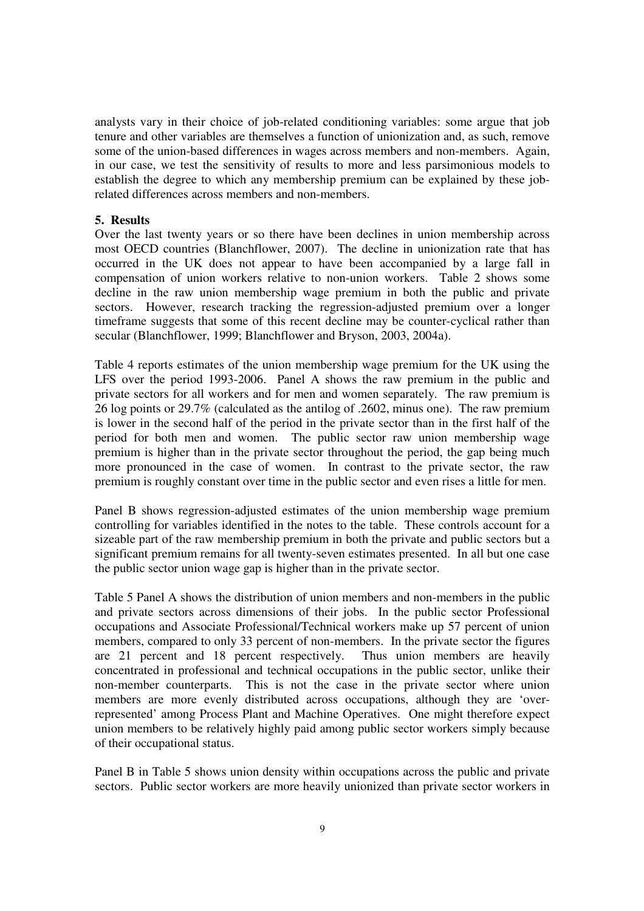analysts vary in their choice of job-related conditioning variables: some argue that job tenure and other variables are themselves a function of unionization and, as such, remove some of the union-based differences in wages across members and non-members. Again, in our case, we test the sensitivity of results to more and less parsimonious models to establish the degree to which any membership premium can be explained by these jobrelated differences across members and non-members.

#### **5. Results**

Over the last twenty years or so there have been declines in union membership across most OECD countries (Blanchflower, 2007). The decline in unionization rate that has occurred in the UK does not appear to have been accompanied by a large fall in compensation of union workers relative to non-union workers. Table 2 shows some decline in the raw union membership wage premium in both the public and private sectors. However, research tracking the regression-adjusted premium over a longer timeframe suggests that some of this recent decline may be counter-cyclical rather than secular (Blanchflower, 1999; Blanchflower and Bryson, 2003, 2004a).

Table 4 reports estimates of the union membership wage premium for the UK using the LFS over the period 1993-2006. Panel A shows the raw premium in the public and private sectors for all workers and for men and women separately. The raw premium is 26 log points or 29.7% (calculated as the antilog of .2602, minus one). The raw premium is lower in the second half of the period in the private sector than in the first half of the period for both men and women. The public sector raw union membership wage premium is higher than in the private sector throughout the period, the gap being much more pronounced in the case of women. In contrast to the private sector, the raw premium is roughly constant over time in the public sector and even rises a little for men.

Panel B shows regression-adjusted estimates of the union membership wage premium controlling for variables identified in the notes to the table. These controls account for a sizeable part of the raw membership premium in both the private and public sectors but a significant premium remains for all twenty-seven estimates presented. In all but one case the public sector union wage gap is higher than in the private sector.

Table 5 Panel A shows the distribution of union members and non-members in the public and private sectors across dimensions of their jobs. In the public sector Professional occupations and Associate Professional/Technical workers make up 57 percent of union members, compared to only 33 percent of non-members. In the private sector the figures are 21 percent and 18 percent respectively. Thus union members are heavily concentrated in professional and technical occupations in the public sector, unlike their non-member counterparts. This is not the case in the private sector where union members are more evenly distributed across occupations, although they are 'overrepresented' among Process Plant and Machine Operatives. One might therefore expect union members to be relatively highly paid among public sector workers simply because of their occupational status.

Panel B in Table 5 shows union density within occupations across the public and private sectors. Public sector workers are more heavily unionized than private sector workers in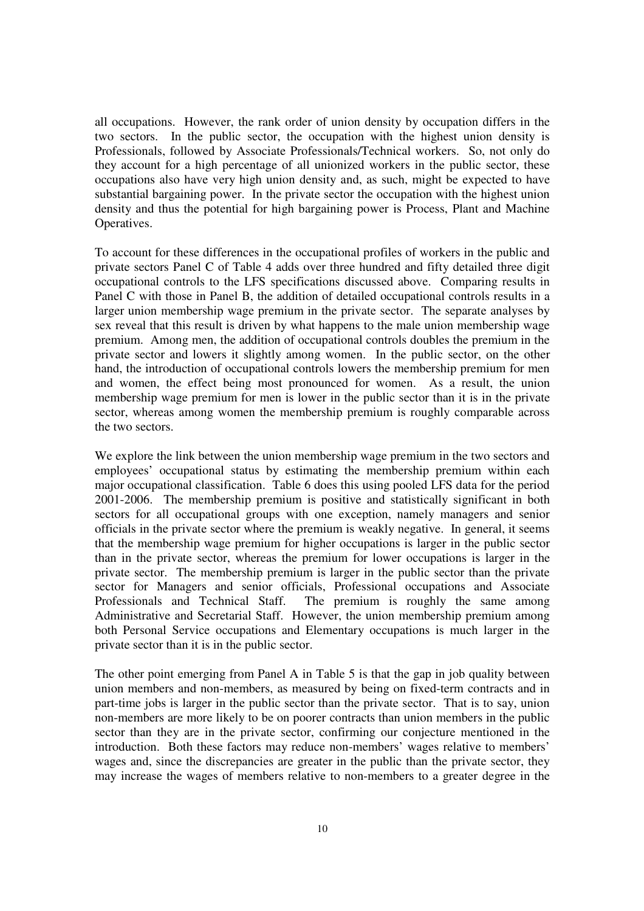all occupations. However, the rank order of union density by occupation differs in the two sectors. In the public sector, the occupation with the highest union density is Professionals, followed by Associate Professionals/Technical workers. So, not only do they account for a high percentage of all unionized workers in the public sector, these occupations also have very high union density and, as such, might be expected to have substantial bargaining power. In the private sector the occupation with the highest union density and thus the potential for high bargaining power is Process, Plant and Machine Operatives.

To account for these differences in the occupational profiles of workers in the public and private sectors Panel C of Table 4 adds over three hundred and fifty detailed three digit occupational controls to the LFS specifications discussed above. Comparing results in Panel C with those in Panel B, the addition of detailed occupational controls results in a larger union membership wage premium in the private sector. The separate analyses by sex reveal that this result is driven by what happens to the male union membership wage premium. Among men, the addition of occupational controls doubles the premium in the private sector and lowers it slightly among women. In the public sector, on the other hand, the introduction of occupational controls lowers the membership premium for men and women, the effect being most pronounced for women. As a result, the union membership wage premium for men is lower in the public sector than it is in the private sector, whereas among women the membership premium is roughly comparable across the two sectors.

We explore the link between the union membership wage premium in the two sectors and employees' occupational status by estimating the membership premium within each major occupational classification. Table 6 does this using pooled LFS data for the period 2001-2006. The membership premium is positive and statistically significant in both sectors for all occupational groups with one exception, namely managers and senior officials in the private sector where the premium is weakly negative. In general, it seems that the membership wage premium for higher occupations is larger in the public sector than in the private sector, whereas the premium for lower occupations is larger in the private sector. The membership premium is larger in the public sector than the private sector for Managers and senior officials, Professional occupations and Associate<br>Professionals and Technical Staff. The premium is roughly the same among The premium is roughly the same among Administrative and Secretarial Staff. However, the union membership premium among both Personal Service occupations and Elementary occupations is much larger in the private sector than it is in the public sector.

The other point emerging from Panel A in Table 5 is that the gap in job quality between union members and non-members, as measured by being on fixed-term contracts and in part-time jobs is larger in the public sector than the private sector. That is to say, union non-members are more likely to be on poorer contracts than union members in the public sector than they are in the private sector, confirming our conjecture mentioned in the introduction. Both these factors may reduce non-members' wages relative to members' wages and, since the discrepancies are greater in the public than the private sector, they may increase the wages of members relative to non-members to a greater degree in the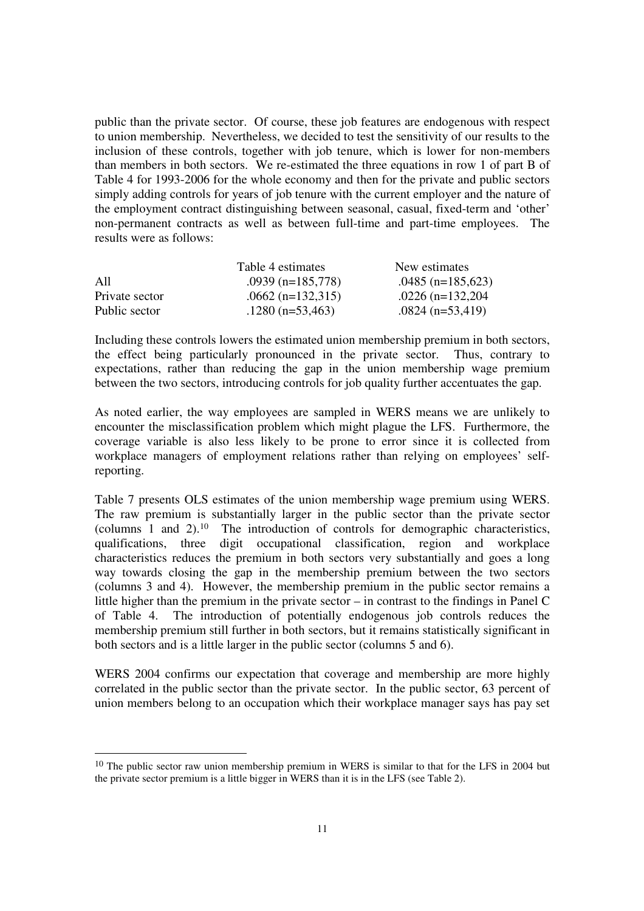public than the private sector. Of course, these job features are endogenous with respect to union membership. Nevertheless, we decided to test the sensitivity of our results to the inclusion of these controls, together with job tenure, which is lower for non-members than members in both sectors. We re-estimated the three equations in row 1 of part B of Table 4 for 1993-2006 for the whole economy and then for the private and public sectors simply adding controls for years of job tenure with the current employer and the nature of the employment contract distinguishing between seasonal, casual, fixed-term and 'other' non-permanent contracts as well as between full-time and part-time employees. The results were as follows:

|                | Table 4 estimates   | New estimates       |
|----------------|---------------------|---------------------|
| A11            | $.0939$ (n=185,778) | $.0485$ (n=185,623) |
| Private sector | $.0662$ (n=132,315) | $.0226$ (n=132,204) |
| Public sector  | $.1280$ (n=53,463)  | $.0824$ (n=53,419)  |

Including these controls lowers the estimated union membership premium in both sectors, the effect being particularly pronounced in the private sector. Thus, contrary to expectations, rather than reducing the gap in the union membership wage premium between the two sectors, introducing controls for job quality further accentuates the gap.

As noted earlier, the way employees are sampled in WERS means we are unlikely to encounter the misclassification problem which might plague the LFS. Furthermore, the coverage variable is also less likely to be prone to error since it is collected from workplace managers of employment relations rather than relying on employees' selfreporting.

Table 7 presents OLS estimates of the union membership wage premium using WERS. The raw premium is substantially larger in the public sector than the private sector (columns 1 and 2).<sup>10</sup> The introduction of controls for demographic characteristics, qualifications, three digit occupational classification, region and workplace characteristics reduces the premium in both sectors very substantially and goes a long way towards closing the gap in the membership premium between the two sectors (columns 3 and 4). However, the membership premium in the public sector remains a little higher than the premium in the private sector – in contrast to the findings in Panel C of Table 4. The introduction of potentially endogenous job controls reduces the membership premium still further in both sectors, but it remains statistically significant in both sectors and is a little larger in the public sector (columns 5 and 6).

WERS 2004 confirms our expectation that coverage and membership are more highly correlated in the public sector than the private sector. In the public sector, 63 percent of union members belong to an occupation which their workplace manager says has pay set

<sup>&</sup>lt;sup>10</sup> The public sector raw union membership premium in WERS is similar to that for the LFS in 2004 but the private sector premium is a little bigger in WERS than it is in the LFS (see Table 2).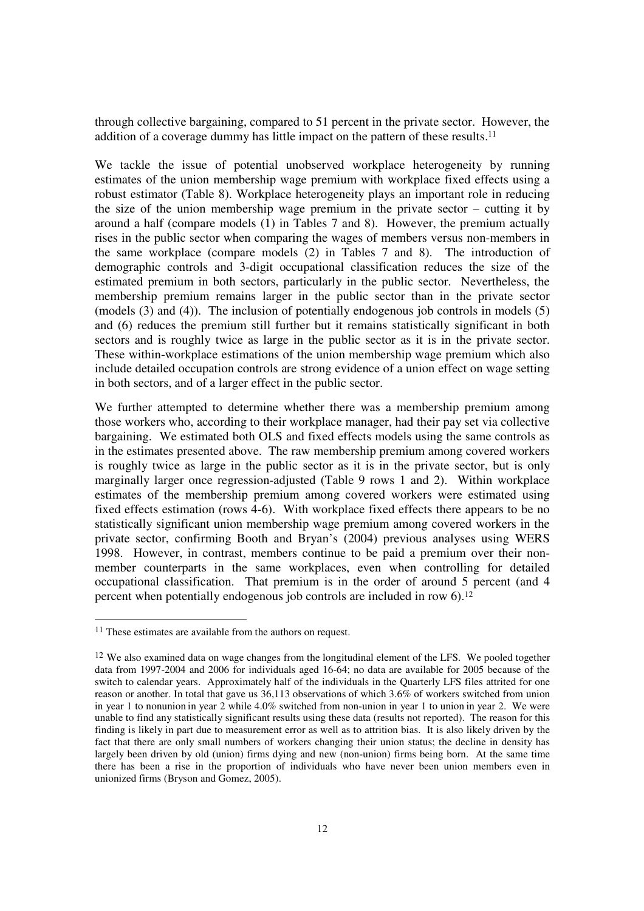through collective bargaining, compared to 51 percent in the private sector. However, the addition of a coverage dummy has little impact on the pattern of these results.<sup>11</sup>

We tackle the issue of potential unobserved workplace heterogeneity by running estimates of the union membership wage premium with workplace fixed effects using a robust estimator (Table 8). Workplace heterogeneity plays an important role in reducing the size of the union membership wage premium in the private sector – cutting it by around a half (compare models (1) in Tables 7 and 8). However, the premium actually rises in the public sector when comparing the wages of members versus non-members in the same workplace (compare models (2) in Tables 7 and 8). The introduction of demographic controls and 3-digit occupational classification reduces the size of the estimated premium in both sectors, particularly in the public sector. Nevertheless, the membership premium remains larger in the public sector than in the private sector (models (3) and (4)). The inclusion of potentially endogenous job controls in models (5) and (6) reduces the premium still further but it remains statistically significant in both sectors and is roughly twice as large in the public sector as it is in the private sector. These within-workplace estimations of the union membership wage premium which also include detailed occupation controls are strong evidence of a union effect on wage setting in both sectors, and of a larger effect in the public sector.

We further attempted to determine whether there was a membership premium among those workers who, according to their workplace manager, had their pay set via collective bargaining. We estimated both OLS and fixed effects models using the same controls as in the estimates presented above. The raw membership premium among covered workers is roughly twice as large in the public sector as it is in the private sector, but is only marginally larger once regression-adjusted (Table 9 rows 1 and 2). Within workplace estimates of the membership premium among covered workers were estimated using fixed effects estimation (rows 4-6). With workplace fixed effects there appears to be no statistically significant union membership wage premium among covered workers in the private sector, confirming Booth and Bryan's (2004) previous analyses using WERS 1998. However, in contrast, members continue to be paid a premium over their nonmember counterparts in the same workplaces, even when controlling for detailed occupational classification. That premium is in the order of around 5 percent (and 4 percent when potentially endogenous job controls are included in row 6).<sup>12</sup>

<sup>11</sup> These estimates are available from the authors on request.

<sup>&</sup>lt;sup>12</sup> We also examined data on wage changes from the longitudinal element of the LFS. We pooled together data from 1997-2004 and 2006 for individuals aged 16-64; no data are available for 2005 because of the switch to calendar years. Approximately half of the individuals in the Quarterly LFS files attrited for one reason or another. In total that gave us 36,113 observations of which 3.6% of workers switched from union in year 1 to nonunion in year 2 while 4.0% switched from non-union in year 1 to union in year 2. We were unable to find any statistically significant results using these data (results not reported). The reason for this finding is likely in part due to measurement error as well as to attrition bias. It is also likely driven by the fact that there are only small numbers of workers changing their union status; the decline in density has largely been driven by old (union) firms dying and new (non-union) firms being born. At the same time there has been a rise in the proportion of individuals who have never been union members even in unionized firms (Bryson and Gomez, 2005).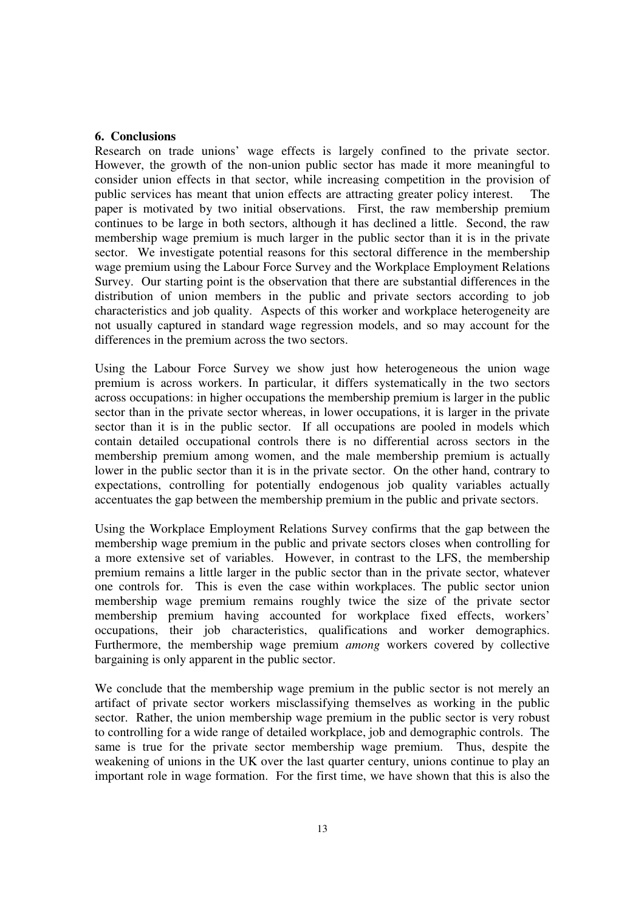#### **6. Conclusions**

Research on trade unions' wage effects is largely confined to the private sector. However, the growth of the non-union public sector has made it more meaningful to consider union effects in that sector, while increasing competition in the provision of public services has meant that union effects are attracting greater policy interest. The paper is motivated by two initial observations. First, the raw membership premium continues to be large in both sectors, although it has declined a little. Second, the raw membership wage premium is much larger in the public sector than it is in the private sector. We investigate potential reasons for this sectoral difference in the membership wage premium using the Labour Force Survey and the Workplace Employment Relations Survey. Our starting point is the observation that there are substantial differences in the distribution of union members in the public and private sectors according to job characteristics and job quality. Aspects of this worker and workplace heterogeneity are not usually captured in standard wage regression models, and so may account for the differences in the premium across the two sectors.

Using the Labour Force Survey we show just how heterogeneous the union wage premium is across workers. In particular, it differs systematically in the two sectors across occupations: in higher occupations the membership premium is larger in the public sector than in the private sector whereas, in lower occupations, it is larger in the private sector than it is in the public sector. If all occupations are pooled in models which contain detailed occupational controls there is no differential across sectors in the membership premium among women, and the male membership premium is actually lower in the public sector than it is in the private sector. On the other hand, contrary to expectations, controlling for potentially endogenous job quality variables actually accentuates the gap between the membership premium in the public and private sectors.

Using the Workplace Employment Relations Survey confirms that the gap between the membership wage premium in the public and private sectors closes when controlling for a more extensive set of variables. However, in contrast to the LFS, the membership premium remains a little larger in the public sector than in the private sector, whatever one controls for. This is even the case within workplaces. The public sector union membership wage premium remains roughly twice the size of the private sector membership premium having accounted for workplace fixed effects, workers' occupations, their job characteristics, qualifications and worker demographics. Furthermore, the membership wage premium *among* workers covered by collective bargaining is only apparent in the public sector.

We conclude that the membership wage premium in the public sector is not merely an artifact of private sector workers misclassifying themselves as working in the public sector. Rather, the union membership wage premium in the public sector is very robust to controlling for a wide range of detailed workplace, job and demographic controls. The same is true for the private sector membership wage premium. Thus, despite the weakening of unions in the UK over the last quarter century, unions continue to play an important role in wage formation. For the first time, we have shown that this is also the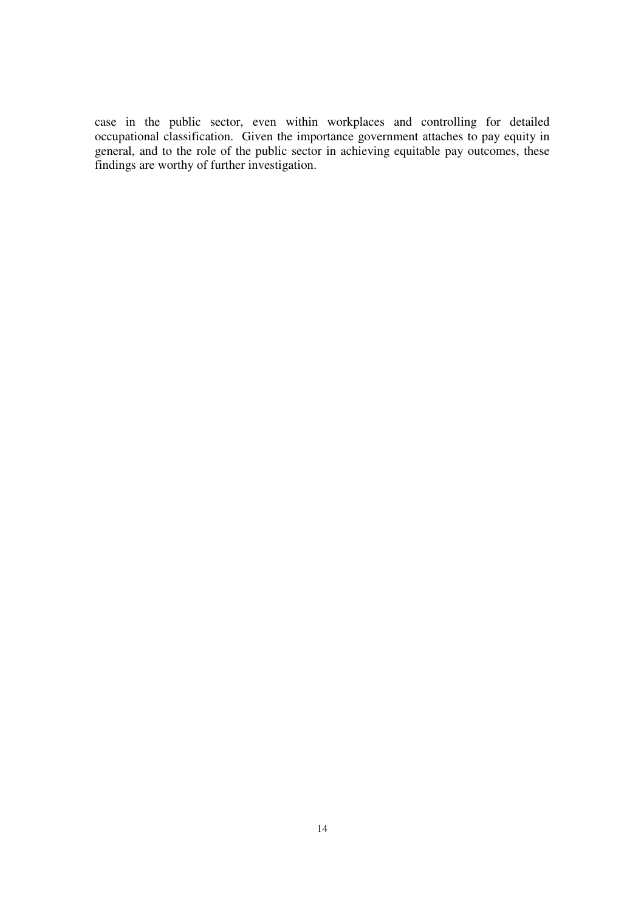case in the public sector, even within workplaces and controlling for detailed occupational classification. Given the importance government attaches to pay equity in general, and to the role of the public sector in achieving equitable pay outcomes, these findings are worthy of further investigation.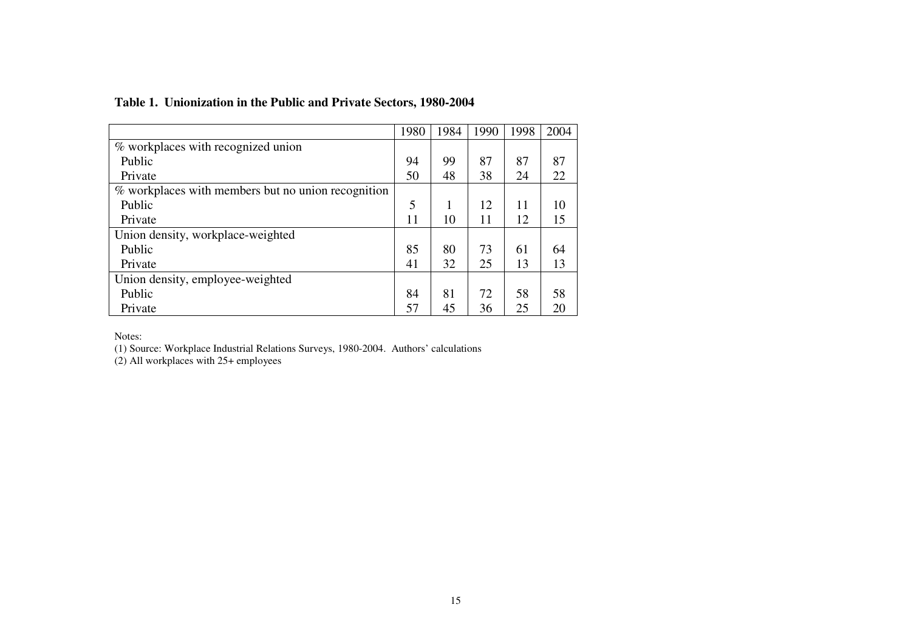## **Table 1. Unionization in the Public and Private Sectors, 1980-2004**

|                                                    | 1980 | 1984 | 1990 | 1998 | 2004 |
|----------------------------------------------------|------|------|------|------|------|
| % workplaces with recognized union                 |      |      |      |      |      |
| Public                                             | 94   | 99   | 87   | 87   | 87   |
| Private                                            | 50   | 48   | 38   | 24   | 22   |
| % workplaces with members but no union recognition |      |      |      |      |      |
| Public                                             | 5    | 1    | 12   | 11   | 10   |
| Private                                            | 11   | 10   | 11   | 12   | 15   |
| Union density, workplace-weighted                  |      |      |      |      |      |
| Public                                             | 85   | 80   | 73   | 61   | 64   |
| Private                                            | 41   | 32   | 25   | 13   | 13   |
| Union density, employee-weighted                   |      |      |      |      |      |
| Public                                             | 84   | 81   | 72   | 58   | 58   |
| Private                                            | 57   | 45   | 36   | 25   | 20   |

Notes:

(1) Source: Workplace Industrial Relations Surveys, 1980-2004. Authors' calculations (2) All workplaces with 25+ employees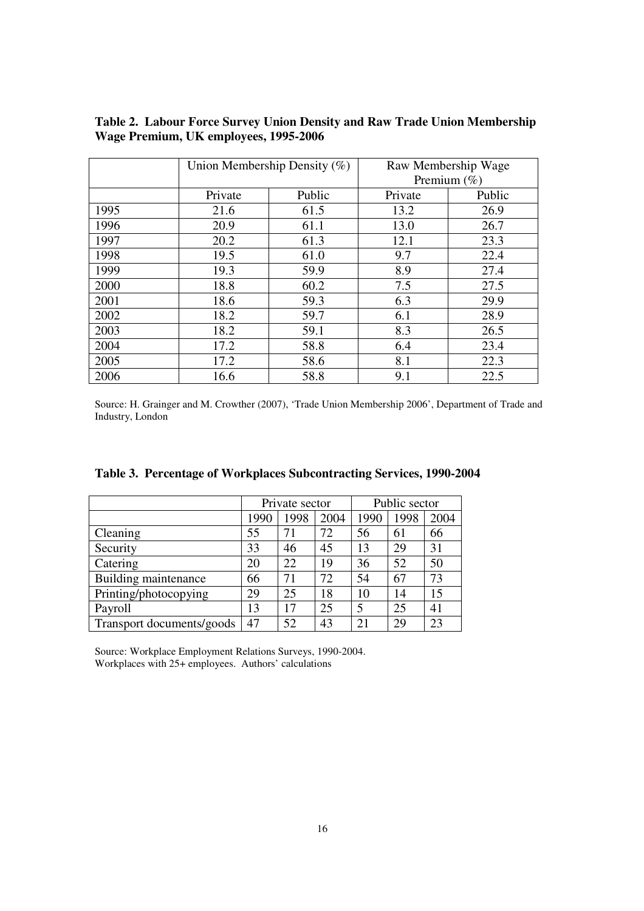|      | Union Membership Density (%) |        | Raw Membership Wage<br>Premium $(\%)$ |        |
|------|------------------------------|--------|---------------------------------------|--------|
|      | Private                      | Public | Private                               | Public |
| 1995 | 21.6                         | 61.5   | 13.2                                  | 26.9   |
| 1996 | 20.9                         | 61.1   | 13.0                                  | 26.7   |
| 1997 | 20.2                         | 61.3   | 12.1                                  | 23.3   |
| 1998 | 19.5                         | 61.0   | 9.7                                   | 22.4   |
| 1999 | 19.3                         | 59.9   | 8.9                                   | 27.4   |
| 2000 | 18.8                         | 60.2   | 7.5                                   | 27.5   |
| 2001 | 18.6                         | 59.3   | 6.3                                   | 29.9   |
| 2002 | 18.2                         | 59.7   | 6.1                                   | 28.9   |
| 2003 | 18.2                         | 59.1   | 8.3                                   | 26.5   |
| 2004 | 17.2                         | 58.8   | 6.4                                   | 23.4   |
| 2005 | 17.2                         | 58.6   | 8.1                                   | 22.3   |
| 2006 | 16.6                         | 58.8   | 9.1                                   | 22.5   |

**Table 2. Labour Force Survey Union Density and Raw Trade Union Membership Wage Premium, UK employees, 1995-2006** 

Source: H. Grainger and M. Crowther (2007), 'Trade Union Membership 2006', Department of Trade and Industry, London

|                           | Private sector |      |      | Public sector |      |      |
|---------------------------|----------------|------|------|---------------|------|------|
|                           | 1990           | 1998 | 2004 | 1990          | 1998 | 2004 |
| Cleaning                  | 55             | 71   | 72   | 56            | 61   | 66   |
| Security                  | 33             | 46   | 45   | 13            | 29   | 31   |
| Catering                  | 20             | 22   | 19   | 36            | 52   | 50   |
| Building maintenance      | 66             | 71   | 72   | 54            | 67   | 73   |
| Printing/photocopying     | 29             | 25   | 18   | 10            | 14   | 15   |
| Payroll                   | 13             | 17   | 25   | 5             | 25   | 41   |
| Transport documents/goods | 47             | 52   | 43   | 21            | 29   | 23   |

|  | Table 3. Percentage of Workplaces Subcontracting Services, 1990-2004 |  |
|--|----------------------------------------------------------------------|--|
|  |                                                                      |  |

Source: Workplace Employment Relations Surveys, 1990-2004. Workplaces with 25+ employees. Authors' calculations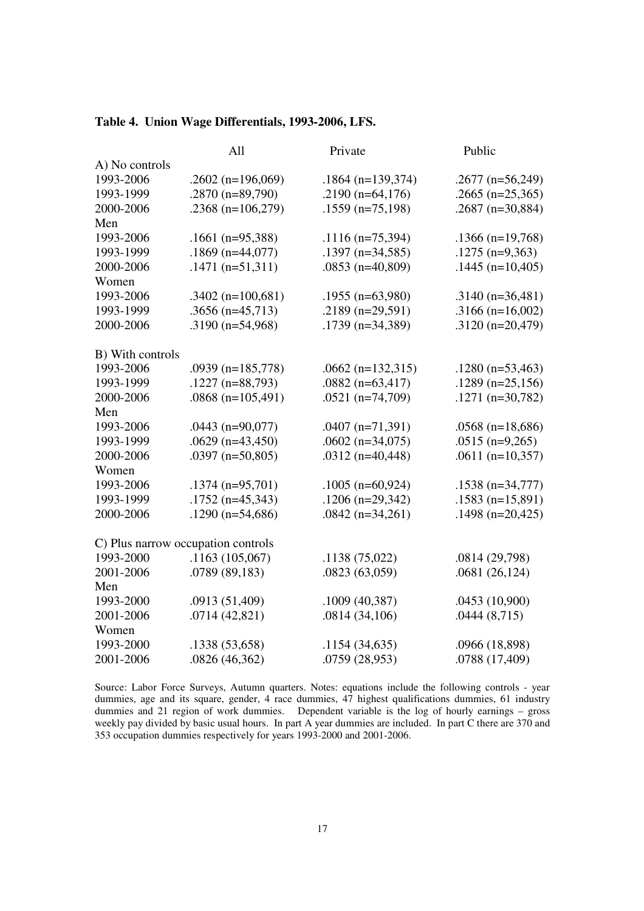## **Table 4. Union Wage Differentials, 1993-2006, LFS.**

|                                    | All                   | Private              | Public             |
|------------------------------------|-----------------------|----------------------|--------------------|
| A) No controls                     |                       |                      |                    |
| 1993-2006                          | .2602 ( $n=196,069$ ) | $.1864$ (n=139,374)  | $.2677$ (n=56,249) |
| 1993-1999                          | $.2870$ (n=89,790)    | .2190 ( $n=64,176$ ) | $.2665$ (n=25,365) |
| 2000-2006                          | .2368 $(n=106,279)$   | $.1559$ (n=75,198)   | $.2687$ (n=30,884) |
| Men                                |                       |                      |                    |
| 1993-2006                          | $.1661$ (n=95,388)    | $.1116$ (n=75,394)   | $.1366$ (n=19,768) |
| 1993-1999                          | $.1869$ (n=44,077)    | $.1397$ (n=34,585)   | $.1275$ (n=9,363)  |
| 2000-2006                          | $.1471(n=51,311)$     | $.0853$ (n=40,809)   | $.1445$ (n=10,405) |
| Women                              |                       |                      |                    |
| 1993-2006                          | $.3402$ (n=100,681)   | $.1955$ (n=63,980)   | $.3140(n=36,481)$  |
| 1993-1999                          | $.3656$ (n=45,713)    | .2189 ( $n=29,591$ ) | $.3166$ (n=16,002) |
| 2000-2006                          | $.3190$ (n=54,968)    | $.1739$ (n=34,389)   | $.3120(n=20,479)$  |
|                                    |                       |                      |                    |
| B) With controls                   |                       |                      |                    |
| 1993-2006                          | .0939 ( $n=185,778$ ) | $.0662$ (n=132,315)  | $.1280$ (n=53,463) |
| 1993-1999                          | $.1227$ (n=88,793)    | .0882 $(n=63,417)$   | $.1289$ (n=25,156) |
| 2000-2006                          | $.0868$ (n=105,491)   | $.0521$ (n=74,709)   | $.1271$ (n=30,782) |
| Men                                |                       |                      |                    |
| 1993-2006                          | $.0443$ (n=90,077)    | $.0407$ (n=71,391)   | $.0568$ (n=18,686) |
| 1993-1999                          | $.0629$ (n=43,450)    | $.0602$ (n=34,075)   | $.0515$ (n=9,265)  |
| 2000-2006                          | $.0397$ (n=50,805)    | $.0312(n=40,448)$    | $.0611$ (n=10,357) |
| Women                              |                       |                      |                    |
| 1993-2006                          | $.1374$ (n=95,701)    | $.1005$ (n=60,924)   | $.1538$ (n=34,777) |
| 1993-1999                          | $.1752$ (n=45,343)    | $.1206$ (n=29,342)   | $.1583$ (n=15,891) |
| 2000-2006                          | $.1290$ (n=54,686)    | $.0842$ (n=34,261)   | $.1498$ (n=20,425) |
|                                    |                       |                      |                    |
| C) Plus narrow occupation controls |                       |                      |                    |
| 1993-2000                          | .1163(105,067)        | .1138(75,022)        | .0814 (29,798)     |
| 2001-2006                          | .0789 (89,183)        | .0823(63,059)        | .0681(26,124)      |
| Men                                |                       |                      |                    |
| 1993-2000                          | .0913 (51,409)        | .1009(40,387)        | .0453 (10,900)     |
| 2001-2006                          | .0714(42,821)         | .0814(34,106)        | .0444(8,715)       |
| Women                              |                       |                      |                    |
| 1993-2000                          | .1338 (53,658)        | .1154(34,635)        | .0966 (18,898)     |
| 2001-2006                          | .0826 (46,362)        | .0759 (28,953)       | .0788 (17,409)     |

Source: Labor Force Surveys, Autumn quarters. Notes: equations include the following controls - year dummies, age and its square, gender, 4 race dummies, 47 highest qualifications dummies, 61 industry dummies and 21 region of work dummies. Dependent variable is the log of hourly earnings – gross weekly pay divided by basic usual hours. In part A year dummies are included. In part C there are 370 and 353 occupation dummies respectively for years 1993-2000 and 2001-2006.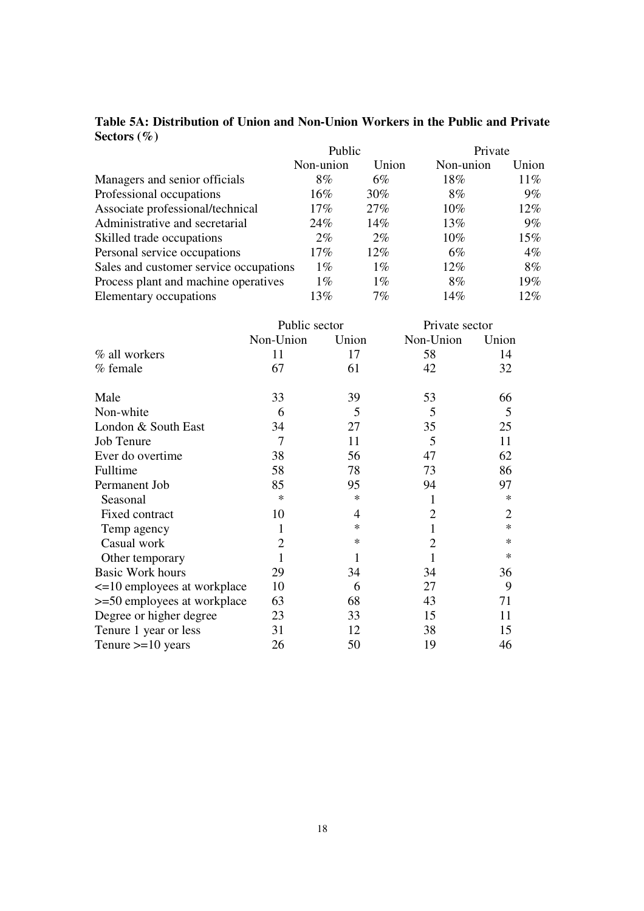|                                        | Public    |        | Private   |        |
|----------------------------------------|-----------|--------|-----------|--------|
|                                        | Non-union | Union  | Non-union | Union  |
| Managers and senior officials          | $8\%$     | $6\%$  | 18%       | $11\%$ |
| Professional occupations               | $16\%$    | 30%    | $8\%$     | 9%     |
| Associate professional/technical       | $17\%$    | $27\%$ | $10\%$    | 12%    |
| Administrative and secretarial         | 24%       | 14%    | 13%       | 9%     |
| Skilled trade occupations              | $2\%$     | $2\%$  | $10\%$    | 15%    |
| Personal service occupations           | $17\%$    | $12\%$ | $6\%$     | $4\%$  |
| Sales and customer service occupations | $1\%$     | $1\%$  | 12%       | 8%     |
| Process plant and machine operatives   | $1\%$     | $1\%$  | $8\%$     | 19%    |
| Elementary occupations                 | 13%       | 7%     | 14%       | 12%    |

## **Table 5A: Distribution of Union and Non-Union Workers in the Public and Private Sectors (%)**

|                             | Public sector  |        | Private sector |                |
|-----------------------------|----------------|--------|----------------|----------------|
|                             | Non-Union      | Union  | Non-Union      | Union          |
| % all workers               | 11             | 17     | 58             | 14             |
| % female                    | 67             | 61     | 42             | 32             |
| Male                        | 33             | 39     | 53             | 66             |
| Non-white                   | 6              | 5      | 5              | 5              |
| London & South East         | 34             | 27     | 35             | 25             |
| <b>Job Tenure</b>           | $\overline{7}$ | 11     | 5              | 11             |
| Ever do overtime            | 38             | 56     | 47             | 62             |
| Fulltime                    | 58             | 78     | 73             | 86             |
| Permanent Job               | 85             | 95     | 94             | 97             |
| Seasonal                    | $\ast$         | $\ast$ | 1              | $\ast$         |
| Fixed contract              | 10             | 4      | 2              | $\overline{2}$ |
| Temp agency                 | 1              | $\ast$ | 1              | $\ast$         |
| Casual work                 | $\overline{2}$ | $\ast$ | 2              | $\ast$         |
| Other temporary             | 1              | 1      | 1              | $\ast$         |
| <b>Basic Work hours</b>     | 29             | 34     | 34             | 36             |
| <=10 employees at workplace | 10             | 6      | 27             | 9              |
| >=50 employees at workplace | 63             | 68     | 43             | 71             |
| Degree or higher degree     | 23             | 33     | 15             | 11             |
| Tenure 1 year or less       | 31             | 12     | 38             | 15             |
| Tenure $>=10$ years         | 26             | 50     | 19             | 46             |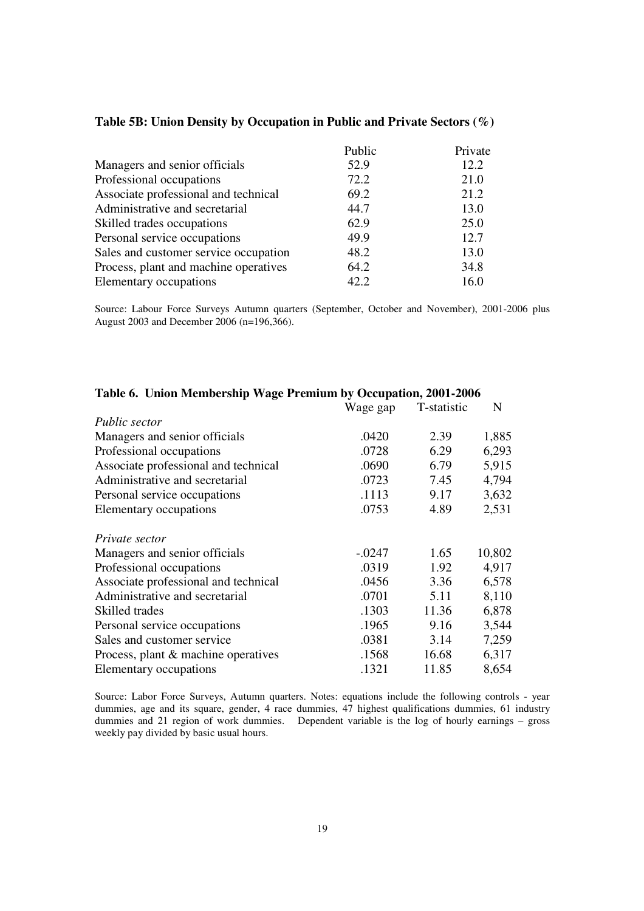|                                       | Public | Private |
|---------------------------------------|--------|---------|
| Managers and senior officials         | 52.9   | 12.2    |
| Professional occupations              | 72.2   | 21.0    |
| Associate professional and technical  | 69.2   | 21.2    |
| Administrative and secretarial        | 44.7   | 13.0    |
| Skilled trades occupations            | 62.9   | 25.0    |
| Personal service occupations          | 49.9   | 12.7    |
| Sales and customer service occupation | 48.2   | 13.0    |
| Process, plant and machine operatives | 64.2   | 34.8    |
| Elementary occupations                | 42.2   | 16.0    |

#### **Table 5B: Union Density by Occupation in Public and Private Sectors (%)**

Source: Labour Force Surveys Autumn quarters (September, October and November), 2001-2006 plus August 2003 and December 2006 (n=196,366).

|                                      | Wage gap | T-statistic | N      |
|--------------------------------------|----------|-------------|--------|
| Public sector                        |          |             |        |
| Managers and senior officials        | .0420    | 2.39        | 1,885  |
| Professional occupations             | .0728    | 6.29        | 6,293  |
| Associate professional and technical | .0690    | 6.79        | 5,915  |
| Administrative and secretarial       | .0723    | 7.45        | 4,794  |
| Personal service occupations         | .1113    | 9.17        | 3,632  |
| Elementary occupations               | .0753    | 4.89        | 2,531  |
| Private sector                       |          |             |        |
| Managers and senior officials        | $-.0247$ | 1.65        | 10,802 |
| Professional occupations             | .0319    | 1.92        | 4,917  |
| Associate professional and technical | .0456    | 3.36        | 6,578  |
| Administrative and secretarial       | .0701    | 5.11        | 8,110  |
| Skilled trades                       | .1303    | 11.36       | 6,878  |
| Personal service occupations         | .1965    | 9.16        | 3,544  |
| Sales and customer service           | .0381    | 3.14        | 7,259  |
| Process, plant & machine operatives  | .1568    | 16.68       | 6,317  |
| Elementary occupations               | .1321    | 11.85       | 8,654  |

## **Table 6. Union Membership Wage Premium by Occupation, 2001-2006**

Source: Labor Force Surveys, Autumn quarters. Notes: equations include the following controls - year dummies, age and its square, gender, 4 race dummies, 47 highest qualifications dummies, 61 industry dummies and 21 region of work dummies. Dependent variable is the log of hourly earnings – gross weekly pay divided by basic usual hours.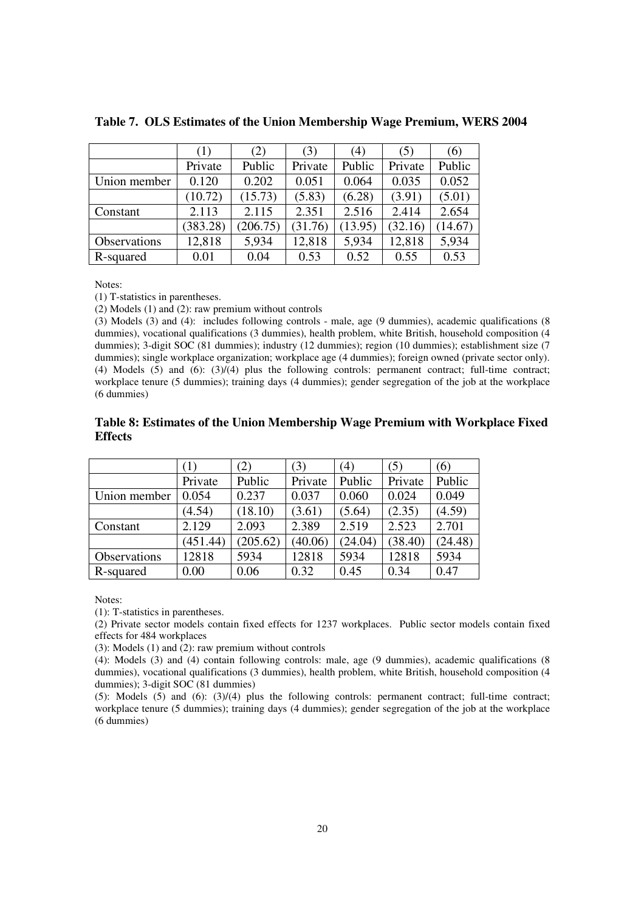|              | (1)      | (2)      | (3)     | (4)     | (5)     | (6)     |
|--------------|----------|----------|---------|---------|---------|---------|
|              | Private  | Public   | Private | Public  | Private | Public  |
| Union member | 0.120    | 0.202    | 0.051   | 0.064   | 0.035   | 0.052   |
|              | (10.72)  | (15.73)  | (5.83)  | (6.28)  | (3.91)  | (5.01)  |
| Constant     | 2.113    | 2.115    | 2.351   | 2.516   | 2.414   | 2.654   |
|              | (383.28) | (206.75) | (31.76) | (13.95) | (32.16) | (14.67) |
| Observations | 12,818   | 5,934    | 12,818  | 5,934   | 12,818  | 5,934   |
| R-squared    | 0.01     | 0.04     | 0.53    | 0.52    | 0.55    | 0.53    |

**Table 7. OLS Estimates of the Union Membership Wage Premium, WERS 2004** 

Notes:

(1) T-statistics in parentheses.

(2) Models (1) and (2): raw premium without controls

(3) Models (3) and (4): includes following controls - male, age (9 dummies), academic qualifications (8 dummies), vocational qualifications (3 dummies), health problem, white British, household composition (4 dummies); 3-digit SOC (81 dummies); industry (12 dummies); region (10 dummies); establishment size (7 dummies); single workplace organization; workplace age (4 dummies); foreign owned (private sector only). (4) Models (5) and (6): (3)/(4) plus the following controls: permanent contract; full-time contract; workplace tenure (5 dummies); training days (4 dummies); gender segregation of the job at the workplace (6 dummies)

#### **Table 8: Estimates of the Union Membership Wage Premium with Workplace Fixed Effects**

|              | (1)      | (2)      | (3)     | 4)      | (5)     | (6)     |
|--------------|----------|----------|---------|---------|---------|---------|
|              | Private  | Public   | Private | Public  | Private | Public  |
| Union member | 0.054    | 0.237    | 0.037   | 0.060   | 0.024   | 0.049   |
|              | (4.54)   | (18.10)  | (3.61)  | (5.64)  | (2.35)  | (4.59)  |
| Constant     | 2.129    | 2.093    | 2.389   | 2.519   | 2.523   | 2.701   |
|              | (451.44) | (205.62) | (40.06) | (24.04) | (38.40) | (24.48) |
| Observations | 12818    | 5934     | 12818   | 5934    | 12818   | 5934    |
| R-squared    | 0.00     | 0.06     | 0.32    | 0.45    | 0.34    | 0.47    |

Notes:

(1): T-statistics in parentheses.

(2) Private sector models contain fixed effects for 1237 workplaces. Public sector models contain fixed effects for 484 workplaces

(3): Models (1) and (2): raw premium without controls

(4): Models (3) and (4) contain following controls: male, age (9 dummies), academic qualifications (8 dummies), vocational qualifications (3 dummies), health problem, white British, household composition (4 dummies); 3-digit SOC (81 dummies)

(5): Models (5) and (6):  $(3)/(4)$  plus the following controls: permanent contract; full-time contract; workplace tenure (5 dummies); training days (4 dummies); gender segregation of the job at the workplace (6 dummies)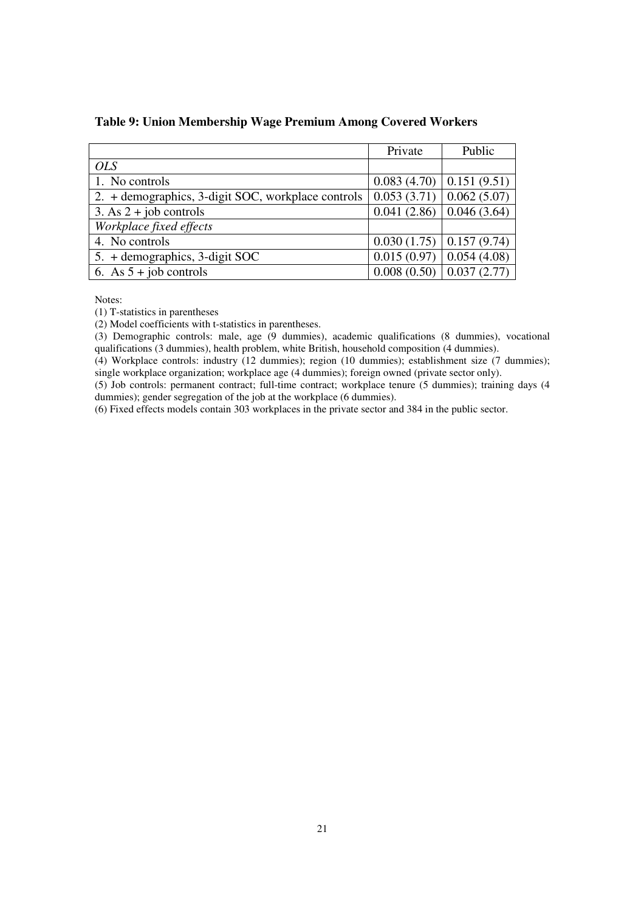| Table 9: Union Membership Wage Premium Among Covered Workers |  |  |
|--------------------------------------------------------------|--|--|
|--------------------------------------------------------------|--|--|

|                                                    | Private                                     | Public      |
|----------------------------------------------------|---------------------------------------------|-------------|
| <b>OLS</b>                                         |                                             |             |
| 1. No controls                                     | $0.083(4.70)$ 0.151 (9.51)                  |             |
| 2. + demographics, 3-digit SOC, workplace controls | $\vert 0.053(3.71) \vert 0.062(5.07) \vert$ |             |
| 3. As $2 + job$ controls                           | $0.041(2.86)$ 0.046 (3.64)                  |             |
| Workplace fixed effects                            |                                             |             |
| 4. No controls                                     | $0.030(1.75)$ 0.157 (9.74)                  |             |
| 5. + demographics, 3-digit SOC                     | 0.015(0.97)                                 | 0.054(4.08) |
| 6. As $5 + job$ controls                           | 0.008(0.50)                                 | 0.037(2.77) |

Notes:

(1) T-statistics in parentheses

(2) Model coefficients with t-statistics in parentheses.

(3) Demographic controls: male, age (9 dummies), academic qualifications (8 dummies), vocational qualifications (3 dummies), health problem, white British, household composition (4 dummies).

(4) Workplace controls: industry (12 dummies); region (10 dummies); establishment size (7 dummies); single workplace organization; workplace age (4 dummies); foreign owned (private sector only).

(5) Job controls: permanent contract; full-time contract; workplace tenure (5 dummies); training days (4 dummies); gender segregation of the job at the workplace (6 dummies).

(6) Fixed effects models contain 303 workplaces in the private sector and 384 in the public sector.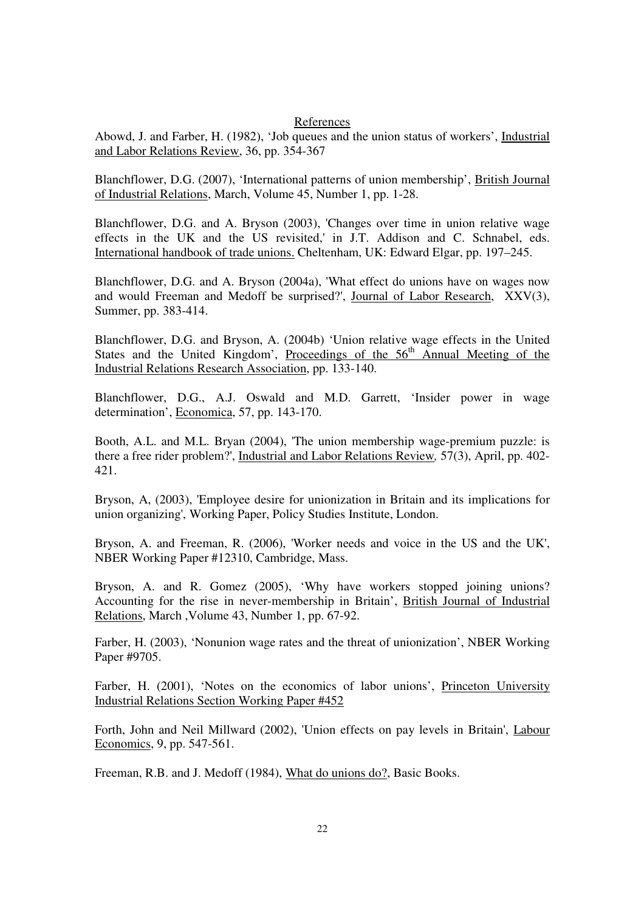#### References

Abowd, J. and Farber, H. (1982), 'Job queues and the union status of workers', Industrial and Labor Relations Review, 36, pp. 354-367

Blanchflower, D.G. (2007), 'International patterns of union membership', British Journal of Industrial Relations, March, Volume 45, Number 1, pp. 1-28.

Blanchflower, D.G. and A. Bryson (2003), 'Changes over time in union relative wage effects in the UK and the US revisited,' in J.T. Addison and C. Schnabel, eds. International handbook of trade unions. Cheltenham, UK: Edward Elgar, pp. 197–245.

Blanchflower, D.G. and A. Bryson (2004a), 'What effect do unions have on wages now and would Freeman and Medoff be surprised?', Journal of Labor Research, XXV(3), Summer, pp. 383-414.

Blanchflower, D.G. and Bryson, A. (2004b) 'Union relative wage effects in the United States and the United Kingdom', Proceedings of the  $56<sup>th</sup>$  Annual Meeting of the Industrial Relations Research Association, pp. 133-140.

Blanchflower, D.G., A.J. Oswald and M.D. Garrett, 'Insider power in wage determination', Economica, 57, pp. 143-170.

Booth, A.L. and M.L. Bryan (2004), 'The union membership wage-premium puzzle: is there a free rider problem?', Industrial and Labor Relations Review*,* 57(3), April, pp. 402- 421.

Bryson, A, (2003), 'Employee desire for unionization in Britain and its implications for union organizing', Working Paper, Policy Studies Institute, London.

Bryson, A. and Freeman, R. (2006), 'Worker needs and voice in the US and the UK', NBER Working Paper #12310, Cambridge, Mass.

Bryson, A. and R. Gomez (2005), 'Why have workers stopped joining unions? Accounting for the rise in never-membership in Britain', British Journal of Industrial Relations, March ,Volume 43, Number 1, pp. 67-92.

Farber, H. (2003), 'Nonunion wage rates and the threat of unionization', NBER Working Paper #9705.

Farber, H. (2001), 'Notes on the economics of labor unions', Princeton University Industrial Relations Section Working Paper #452

Forth, John and Neil Millward (2002), 'Union effects on pay levels in Britain', Labour Economics, 9, pp. 547-561.

Freeman, R.B. and J. Medoff (1984), What do unions do?, Basic Books.